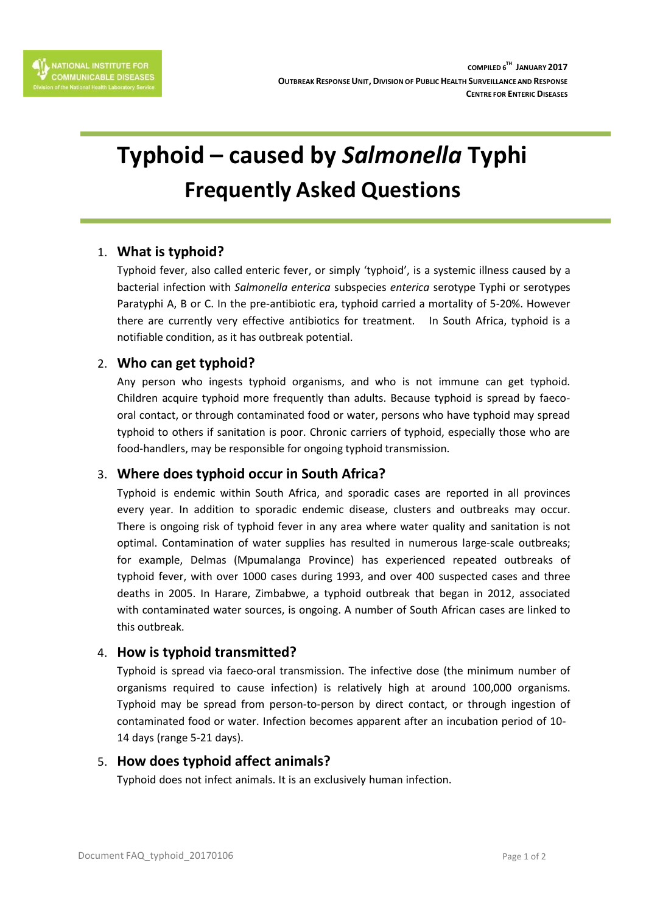

# **Typhoid – caused by** *Salmonella* **Typhi Frequently Asked Questions**

# 1. **What is typhoid?**

Typhoid fever, also called enteric fever, or simply 'typhoid', is a systemic illness caused by a bacterial infection with *Salmonella enterica* subspecies *enterica* serotype Typhi or serotypes Paratyphi A, B or C. In the pre-antibiotic era, typhoid carried a mortality of 5-20%. However there are currently very effective antibiotics for treatment. In South Africa, typhoid is a notifiable condition, as it has outbreak potential.

# 2. **Who can get typhoid?**

Any person who ingests typhoid organisms, and who is not immune can get typhoid. Children acquire typhoid more frequently than adults. Because typhoid is spread by faecooral contact, or through contaminated food or water, persons who have typhoid may spread typhoid to others if sanitation is poor. Chronic carriers of typhoid, especially those who are food-handlers, may be responsible for ongoing typhoid transmission.

# 3. **Where does typhoid occur in South Africa?**

Typhoid is endemic within South Africa, and sporadic cases are reported in all provinces every year. In addition to sporadic endemic disease, clusters and outbreaks may occur. There is ongoing risk of typhoid fever in any area where water quality and sanitation is not optimal. Contamination of water supplies has resulted in numerous large-scale outbreaks; for example, Delmas (Mpumalanga Province) has experienced repeated outbreaks of typhoid fever, with over 1000 cases during 1993, and over 400 suspected cases and three deaths in 2005. In Harare, Zimbabwe, a typhoid outbreak that began in 2012, associated with contaminated water sources, is ongoing. A number of South African cases are linked to this outbreak.

# 4. **How is typhoid transmitted?**

Typhoid is spread via faeco-oral transmission. The infective dose (the minimum number of organisms required to cause infection) is relatively high at around 100,000 organisms. Typhoid may be spread from person-to-person by direct contact, or through ingestion of contaminated food or water. Infection becomes apparent after an incubation period of 10- 14 days (range 5-21 days).

#### 5. **How does typhoid affect animals?**

Typhoid does not infect animals. It is an exclusively human infection.